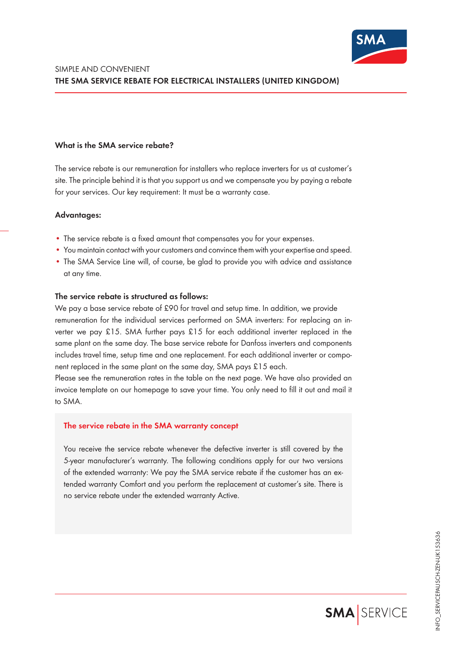

## **What is the SMA service rebate?**

The service rebate is our remuneration for installers who replace inverters for us at customer's site. The principle behind it is that you support us and we compensate you by paying a rebate for your services. Our key requirement: It must be a warranty case.

### **Advantages:**

- The service rebate is a fixed amount that compensates you for your expenses.
- You maintain contact with your customers and convince them with your expertise and speed.
- The SMA Service Line will, of course, be glad to provide you with advice and assistance at any time.

### **The service rebate is structured as follows:**

We pay a base service rebate of £90 for travel and setup time. In addition, we provide remuneration for the individual services performed on SMA inverters: For replacing an inverter we pay £15. SMA further pays £15 for each additional inverter replaced in the same plant on the same day. The base service rebate for Danfoss inverters and components includes travel time, setup time and one replacement. For each additional inverter or component replaced in the same plant on the same day, SMA pays £15 each.

Please see the remuneration rates in the table on the next page. We have also provided an invoice template on our homepage to save your time. You only need to fill it out and mail it to SMA.

### **The service rebate in the SMA warranty concept**

You receive the service rebate whenever the defective inverter is still covered by the 5-year manufacturer's warranty. The following conditions apply for our two versions of the extended warranty: We pay the SMA service rebate if the customer has an extended warranty Comfort and you perform the replacement at customer's site. There is no service rebate under the extended warranty Active.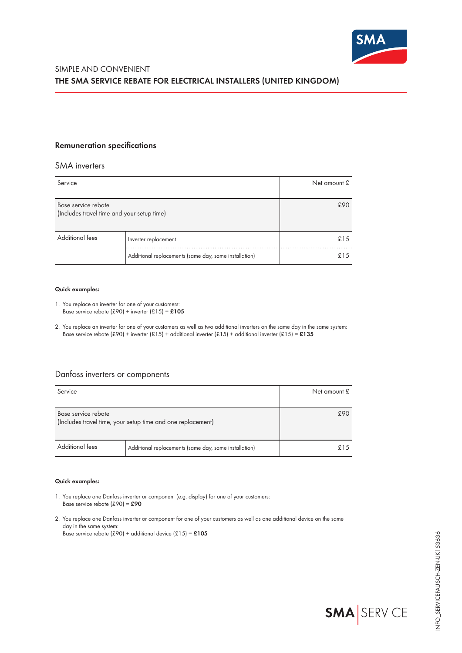

## **Remuneration specifications**

### SMA inverters

| Service                                                           |                                                       | Net amount £ |
|-------------------------------------------------------------------|-------------------------------------------------------|--------------|
| Base service rebate<br>(Includes travel time and your setup time) |                                                       | £90          |
| <b>Additional fees</b>                                            | Inverter replacement                                  | £15          |
|                                                                   | Additional replacements (same day, same installation) | £1.5         |

#### **Quick examples:**

- 1. You replace an inverter for one of your customers: Base service rebate (£90) + inverter (£15) = **£105**
- 2. You replace an inverter for one of your customers as well as two additional inverters on the same day in the same system: Base service rebate (£90) + inverter (£15) + additional inverter (£15) + additional inverter (£15) = **£135**

# Danfoss inverters or components

| Service                                                                            |                                                       | Net amount £ |
|------------------------------------------------------------------------------------|-------------------------------------------------------|--------------|
| Base service rebate<br>(Includes travel time, your setup time and one replacement) |                                                       | £90          |
| <b>Additional fees</b>                                                             | Additional replacements (same day, same installation) | £15          |

### **Quick examples:**

- 1. You replace one Danfoss inverter or component (e.g. display) for one of your customers: Base service rebate (£90) = **£90**
- 2. You replace one Danfoss inverter or component for one of your customers as well as one additional device on the same day in the same system: Base service rebate (£90) + additional device (£15) = **£105**